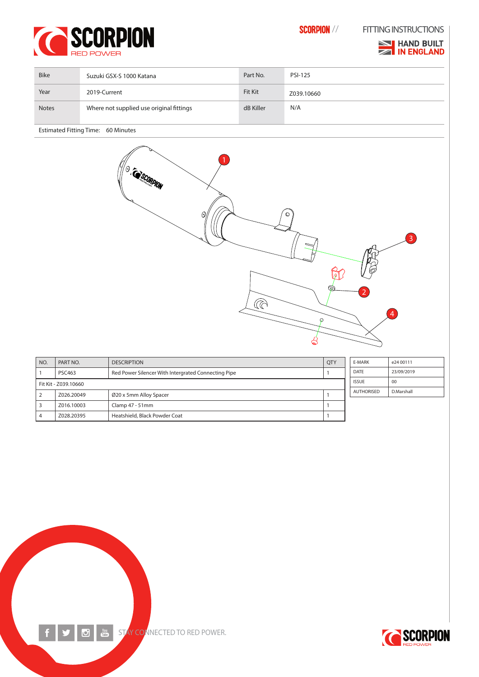



**NO HAND BUILT ZA IN ENGLAND** 

| <b>Bike</b>  | Suzuki GSX-S 1000 Katana                 | Part No.       | <b>PSI-125</b> |
|--------------|------------------------------------------|----------------|----------------|
| Year         | 2019-Current                             | <b>Fit Kit</b> | Z039.10660     |
| <b>Notes</b> | Where not supplied use original fittings | dB Killer      | N/A            |

Estimated Fitting Time: 60 Minutes



| NO.                  | PART NO.      | <b>DESCRIPTION</b>                                  | <b>QTY</b>   | E-MARK            | e24 00111  |
|----------------------|---------------|-----------------------------------------------------|--------------|-------------------|------------|
|                      | <b>PSC463</b> | Red Power Silencer With Intergrated Connecting Pipe |              | <b>DATE</b>       | 23/09/2019 |
| Fit Kit - Z039.10660 |               |                                                     | <b>ISSUE</b> | 00                |            |
| $\sqrt{2}$           | Z026.20049    | Ø20 x 5mm Alloy Spacer                              |              | <b>AUTHORISED</b> | D.Marshall |
| l 3                  | Z016.10003    | Clamp 47 - 51mm                                     |              |                   |            |
| l 4                  | Z028.20395    | Heatshield, Black Powder Coat                       |              |                   |            |